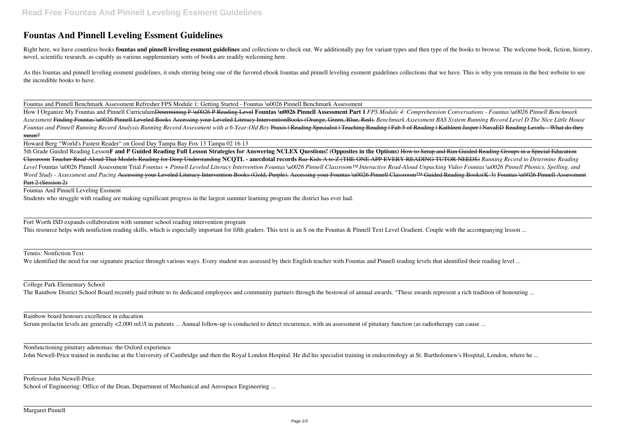## **Fountas And Pinnell Leveling Essment Guidelines**

Right here, we have countless books fountas and pinnell leveling essment guidelines and collections to check out. We additionally pay for variant types and then type of the books to browse. The welcome book, fiction, histo novel, scientific research, as capably as various supplementary sorts of books are readily welcoming here.

As this fountas and pinnell leveling essment guidelines, it ends stirring being one of the favored ebook fountas and pinnell leveling essment guidelines collections that we have. This is why you remain in the best website the incredible books to have.

How I Organize My Fountas and Pinnell CurriculumDetermining F \u0026 P Reading Level **Fountas \u0026 Pinnell Assessment Part 1** *FPS Module 4: Comprehension Conversations - Fountas \u0026 Pinnell Benchmark Assessment* Finding Fountas \u0026 Pinnell Leveled Books Accessing your Leveled Literacy InterventionBooks (Orange, Green, Blue, Red). *Benchmark Assessment BAS System Running Record Level D The Nice Little House* Fountas and Pinnell Running Record Analysis Running Record Assessment with a 6-Year-Old Boy Praxis | Reading Specialist | Teaching Reading | Fab 5 of Reading | Kathleen Jasper | NavaED Reading Levels-- What do they mean?

Fountas and Pinnell Benchmark Assessment Refresher FPS Module 1: Getting Started - Fountas \u0026 Pinnell Benchmark Assessment

5th Grade Guided Reading Lesson**F and P Guided Reading Full Lesson Strategies for Answering NCLEX Questions! (Opposites in the Options)** How to Setup and Run Guided Reading Groups in a Special Education Classroom Teacher Read-Aloud That Models Reading for Deep Understanding **NCQTL - anecdotal records** Raz Kids A to Z (THE ONE APP EVERY READING TUTOR NEEDS) *Running Record to Determine Reading* Level Fountas \u0026 Pinnell Assessment Trial Fountas + Pinnell Leveled Literacy Intervention Fountas \u0026 Pinnell Classroom™ Interactive Read-Aloud Unpacking Video Fountas \u0026 Pinnell Phonics, Spelling, and *Word Study - Assessment and Pacing Accessing your Leveled Literacy Intervention Books (Gold, Purple). Accessing your Fountas \u0026 Pinnell Classroom™ Guided Reading Books(K-3) Fountas \u0026 Pinnell Assessment* Part 2 (Session 2)

Fort Worth ISD expands collaboration with summer school reading intervention program This resource helps with nonfiction reading skills, which is especially important for fifth graders. This text is an S on the Fountas & Pinnell Text Level Gradient. Couple with the accompanying lesson ...

Howard Berg "World's Fastest Reader" on Good Day Tampa Bay Fox 13 Tampa 02 16 13

Rainbow board honours excellence in education Serum prolactin levels are generally <2,000 mU/l in patients ... Annual follow-up is conducted to detect recurrence, with an assessment of pituitary function (as radiotherapy can cause ...

Fountas And Pinnell Leveling Essment

Students who struggle with reading are making significant progress in the largest summer learning program the district has ever had.

Tennis: Nonfiction Text

We identified the need for our signature practice through various ways. Every student was assessed by their English teacher with Fountas and Pinnell reading levels that identified their reading level ...

College Park Elementary School

The Rainbow District School Board recently paid tribute to its dedicated employees and community partners through the bestowal of annual awards. "These awards represent a rich tradition of honouring ...

Nonfunctioning pituitary adenomas: the Oxford experience

John Newell-Price trained in medicine at the University of Cambridge and then the Royal London Hospital. He did his specialist training in endocrinology at St. Bartholomew's Hospital, London, where he ...

## Professor John Newell-Price

School of Engineering: Office of the Dean, Department of Mechanical and Aerospace Engineering ...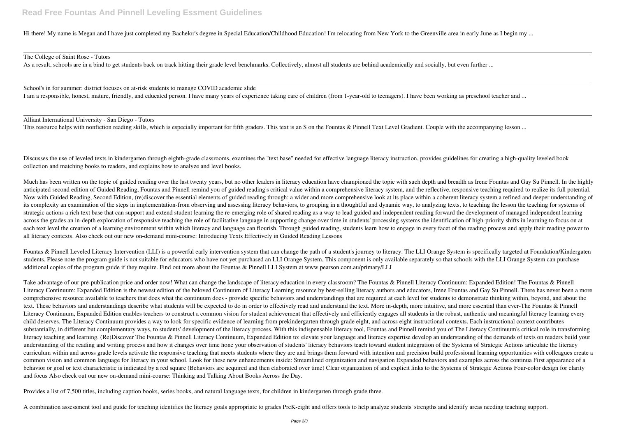Hi there! My name is Megan and I have just completed my Bachelor's degree in Special Education/Childhood Education! I'm relocating from New York to the Greenville area in early June as I begin my ...

The College of Saint Rose - Tutors

As a result, schools are in a bind to get students back on track hitting their grade level benchmarks. Collectively, almost all students are behind academically and socially, but even further ...

School's in for summer: district focuses on at-risk students to manage COVID academic slide I am a responsible, honest, mature, friendly, and educated person. I have many years of experience taking care of children (from 1-year-old to teenagers). I have been working as preschool teacher and ...

Alliant International University - San Diego - Tutors

This resource helps with nonfiction reading skills, which is especially important for fifth graders. This text is an S on the Fountas & Pinnell Text Level Gradient. Couple with the accompanying lesson ...

Discusses the use of leveled texts in kindergarten through eighth-grade classrooms, examines the "text base" needed for effective language literacy instruction, provides guidelines for creating a high-quality leveled book collection and matching books to readers, and explains how to analyze and level books.

Much has been written on the topic of guided reading over the last twenty years, but no other leaders in literacy education have championed the topic with such depth and breadth as Irene Fountas and Gay Su Pinnell. In the anticipated second edition of Guided Reading, Fountas and Pinnell remind you of guided reading's critical value within a comprehensive literacy system, and the reflective, responsive teaching required to realize its full p Now with Guided Reading, Second Edition, (re)discover the essential elements of guided reading through: a wider and more comprehensive look at its place within a coherent literacy system a refined and deeper understanding its complexity an examination of the steps in implementation-from observing and assessing literacy behaviors, to grouping in a thoughtful and dynamic way, to analyzing texts, to teaching the lesson the teaching for systems strategic actions a rich text base that can support and extend student learning the re-emerging role of shared reading as a way to lead guided and independent reading forward the development of managed independent learning across the grades an in-depth exploration of responsive teaching the role of facilitative language in supporting change over time in students' processing systems the identification of high-priority shifts in learning to fo each text level the creation of a learning environment within which literacy and language can flourish. Through guided reading, students learn how to engage in every facet of the reading process and apply their reading pow all literacy contexts. Also check out our new on-demand mini-course: Introducing Texts Effectively in Guided Reading Lessons

Fountas & Pinnell Leveled Literacy Intervention (LLI) is a powerful early intervention system that can change the path of a student's journey to literacy. The LLI Orange System is specifically targeted at Foundation/Kinder students. Please note the program guide is not suitable for educators who have not yet purchased an LLI Orange System. This component is only available separately so that schools with the LLI Orange System can purchase additional copies of the program guide if they require. Find out more about the Fountas & Pinnell LLI System at www.pearson.com.au/primary/LLI

Take advantage of our pre-publication price and order now! What can change the landscape of literacy education in every classroom? The Fountas & Pinnell Literacy Continuum: Expanded Edition! The Fountas & Pinnell Literacy Continuum: Expanded Edition is the newest edition of the beloved Continuum of Literacy Learning resource by best-selling literacy authors and educators, Irene Fountas and Gay Su Pinnell. There has never been a mor comprehensive resource available to teachers that does what the continuum does - provide specific behaviors and understandings that are required at each level for students to demonstrate thinking within, beyond, and about text. These behaviors and understandings describe what students will be expected to do in order to effectively read and understand the text. More in-depth, more intuitive, and more essential than ever-The Fountas & Pinnell Literacy Continuum, Expanded Edition enables teachers to construct a common vision for student achievement that effectively and efficiently engages all students in the robust, authentic and meaningful literacy learning eve child deserves. The Literacy Continuum provides a way to look for specific evidence of learning from prekindergarten through grade eight, and across eight instructional contexts. Each instructional context contributes substantially, in different but complementary ways, to students' development of the literacy process. With this indispensable literacy tool, Fountas and Pinnell remind you of The Literacy Continuum's critical role in trans literacy teaching and learning. (Re)Discover The Fountas & Pinnell Literacy Continuum, Expanded Edition to: elevate your language and literacy expertise develop an understanding of the demands of texts on readers build you understanding of the reading and writing process and how it changes over time hone your observation of students' literacy behaviors teach toward student integration of the Systems of Strategic Actions articulate the literacy curriculum within and across grade levels activate the responsive teaching that meets students where they are and brings them forward with intention and precision build professional learning opportunities with colleagues c common vision and common language for literacy in your school. Look for these new enhancements inside: Streamlined organization and navigation Expanded behaviors and examples across the continua First appearance of a behavior or goal or text characteristic is indicated by a red square (Behaviors are acquired and then elaborated over time) Clear organization of and explicit links to the Systems of Strategic Actions Four-color design for and focus Also check out our new on-demand mini-course: Thinking and Talking About Books Across the Day.

Provides a list of 7,500 titles, including caption books, series books, and natural language texts, for children in kindergarten through grade three.

A combination assessment tool and guide for teaching identifies the literacy goals appropriate to grades PreK-eight and offers tools to help analyze students' strengths and identify areas needing teaching support.